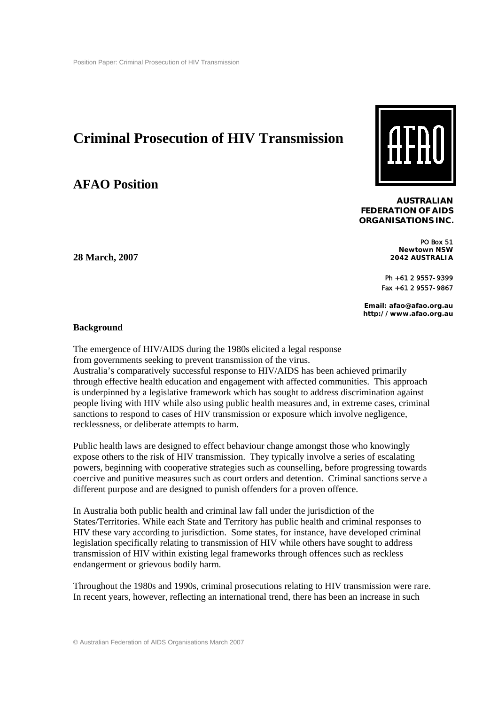# **Criminal Prosecution of HIV Transmission**

## **AFAO Position**



**AUSTRALIAN FEDERATION OF AIDS ORGANISATIONS INC.** 

> PO Box 51 **Newtown NSW 2042 AUSTRALIA**

Ph +61 2 9557-9399 Fax +61 2 9557-9867

**Email: afao@afao.org.au http://www.afao.org.au** 

### **Background**

**28 March, 2007** 

The emergence of HIV/AIDS during the 1980s elicited a legal response from governments seeking to prevent transmission of the virus. Australia's comparatively successful response to HIV/AIDS has been achieved primarily through effective health education and engagement with affected communities. This approach is underpinned by a legislative framework which has sought to address discrimination against people living with HIV while also using public health measures and, in extreme cases, criminal sanctions to respond to cases of HIV transmission or exposure which involve negligence, recklessness, or deliberate attempts to harm.

Public health laws are designed to effect behaviour change amongst those who knowingly expose others to the risk of HIV transmission. They typically involve a series of escalating powers, beginning with cooperative strategies such as counselling, before progressing towards coercive and punitive measures such as court orders and detention. Criminal sanctions serve a different purpose and are designed to punish offenders for a proven offence.

In Australia both public health and criminal law fall under the jurisdiction of the States/Territories. While each State and Territory has public health and criminal responses to HIV these vary according to jurisdiction. Some states, for instance, have developed criminal legislation specifically relating to transmission of HIV while others have sought to address transmission of HIV within existing legal frameworks through offences such as reckless endangerment or grievous bodily harm.

Throughout the 1980s and 1990s, criminal prosecutions relating to HIV transmission were rare. In recent years, however, reflecting an international trend, there has been an increase in such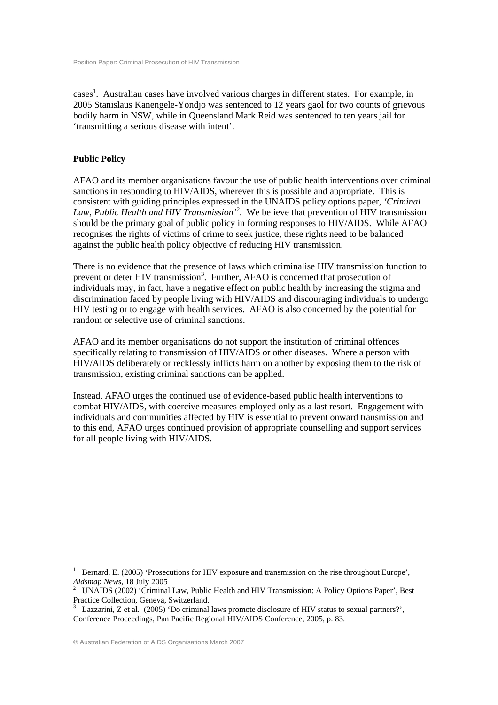cases<sup>1</sup>. Australian cases have involved various charges in different states. For example, in 2005 Stanislaus Kanengele-Yondjo was sentenced to 12 years gaol for two counts of grievous bodily harm in NSW, while in Queensland Mark Reid was sentenced to ten years jail for 'transmitting a serious disease with intent'.

#### **Public Policy**

AFAO and its member organisations favour the use of public health interventions over criminal sanctions in responding to HIV/AIDS, wherever this is possible and appropriate. This is consistent with guiding principles expressed in the UNAIDS policy options paper, *'Criminal Law, Public Health and HIV Transmission'2* . We believe that prevention of HIV transmission should be the primary goal of public policy in forming responses to HIV/AIDS. While AFAO recognises the rights of victims of crime to seek justice, these rights need to be balanced against the public health policy objective of reducing HIV transmission.

There is no evidence that the presence of laws which criminalise HIV transmission function to prevent or deter HIV transmission<sup>3</sup>. Further, AFAO is concerned that prosecution of individuals may, in fact, have a negative effect on public health by increasing the stigma and discrimination faced by people living with HIV/AIDS and discouraging individuals to undergo HIV testing or to engage with health services. AFAO is also concerned by the potential for random or selective use of criminal sanctions.

AFAO and its member organisations do not support the institution of criminal offences specifically relating to transmission of HIV/AIDS or other diseases. Where a person with HIV/AIDS deliberately or recklessly inflicts harm on another by exposing them to the risk of transmission, existing criminal sanctions can be applied.

Instead, AFAO urges the continued use of evidence-based public health interventions to combat HIV/AIDS, with coercive measures employed only as a last resort. Engagement with individuals and communities affected by HIV is essential to prevent onward transmission and to this end, AFAO urges continued provision of appropriate counselling and support services for all people living with HIV/AIDS.

<sup>1</sup> Bernard, E. (2005) 'Prosecutions for HIV exposure and transmission on the rise throughout Europe', Aidsmap News, 18 July 2005

UNAIDS (2002) 'Criminal Law, Public Health and HIV Transmission: A Policy Options Paper', Best Practice Collection, Geneva, Switzerland.

<sup>3</sup> Lazzarini, Z et al. (2005) 'Do criminal laws promote disclosure of HIV status to sexual partners?', Conference Proceedings, Pan Pacific Regional HIV/AIDS Conference, 2005, p. 83.